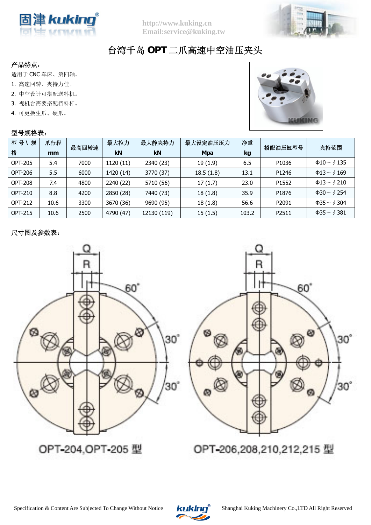



## 台湾千岛 **OPT** 二爪高速中空油压夹头

## 产品特点:

适用于 CNC 车床、第四轴。

- 1. 高速回转、夹持力佳。
- 2. 中空设计可搭配送料机。
- 3. 视机台需要搭配档料杆。
- 4. 可更换生爪、硬爪。

## 型号规格表:



| 型号\<br>规       | 爪行程  | 最高回转速 | 最大拉力      | 最大静夹持力      | 最大设定油压压力  | 净重    | 搭配油压缸型号 | 夹持范围                    |  |
|----------------|------|-------|-----------|-------------|-----------|-------|---------|-------------------------|--|
| 格              | mm   |       | kN        | kN          | Mpa       | kg    |         |                         |  |
| <b>OPT-205</b> | 5.4  | 7000  | 1120 (11) | 2340 (23)   | 19(1.9)   | 6.5   | P1036   | $\Phi$ 10 ~ $\oint$ 135 |  |
| OPT-206        | 5.5  | 6000  | 1420 (14) | 3770 (37)   | 18.5(1.8) | 13.1  | P1246   | $\Phi$ 13 ~ $\oint$ 169 |  |
| <b>OPT-208</b> | 7.4  | 4800  | 2240 (22) | 5710 (56)   | 17(1.7)   | 23.0  | P1552   | $\Phi$ 13 ~ $\oint$ 210 |  |
| <b>OPT-210</b> | 8.8  | 4200  | 2850 (28) | 7440 (73)   | 18(1.8)   | 35.9  | P1876   | $\Phi$ 30 ~ $\oint$ 254 |  |
| <b>OPT-212</b> | 10.6 | 3300  | 3670 (36) | 9690 (95)   | 18(1.8)   | 56.6  | P2091   | $\Phi$ 35 ~ $\oint$ 304 |  |
| <b>OPT-215</b> | 10.6 | 2500  | 4790 (47) | 12130 (119) | 15(1.5)   | 103.2 | P2511   | $\Phi$ 35 ~ $\oint$ 381 |  |

## 尺寸图及参数表: